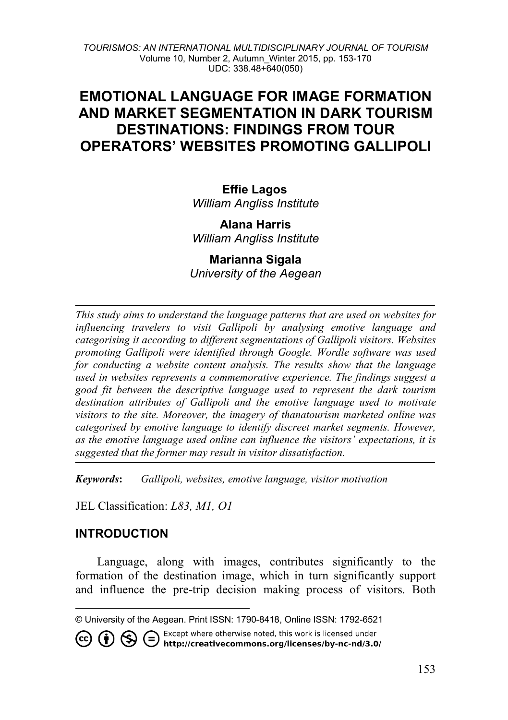*TOURISMOS: AN INTERNATIONAL MULTIDISCIPLINARY JOURNAL OF TOURISM* Volume 10, Number 2, Autumn\_Winter 2015, pp. 153-170 UDC: 338.48+640(050)

# **EMOTIONAL LANGUAGE FOR IMAGE FORMATION AND MARKET SEGMENTATION IN DARK TOURISM DESTINATIONS: FINDINGS FROM TOUR OPERATORS' WEBSITES PROMOTING GALLIPOLI**

#### **Effie Lagos** *William Angliss Institute*

**Alana Harris** *William Angliss Institute*

**Marianna Sigala** *University of the Aegean*

*This study aims to understand the language patterns that are used on websites for influencing travelers to visit Gallipoli by analysing emotive language and categorising it according to different segmentations of Gallipoli visitors. Websites promoting Gallipoli were identified through Google. Wordle software was used for conducting a website content analysis. The results show that the language used in websites represents a commemorative experience. The findings suggest a good fit between the descriptive language used to represent the dark tourism destination attributes of Gallipoli and the emotive language used to motivate visitors to the site. Moreover, the imagery of thanatourism marketed online was categorised by emotive language to identify discreet market segments. However, as the emotive language used online can influence the visitors' expectations, it is suggested that the former may result in visitor dissatisfaction.*

*Keywords***:** *Gallipoli, websites, emotive language, visitor motivation*

JEL Classification: *L83, M1, O1*

#### **INTRODUCTION**

j

(cc)

Language, along with images, contributes significantly to the formation of the destination image, which in turn significantly support and influence the pre-trip decision making process of visitors. Both

Except where otherwise noted, this work is licensed under **1** S C Except where otherwise noted, this work is licensed under<br>http://creativecommons.org/licenses/by-nc-nd/3.0/

<span id="page-0-0"></span><sup>©</sup> University of the Aegean. Print ISSN: 1790-8418, Online ISSN: 1792-6521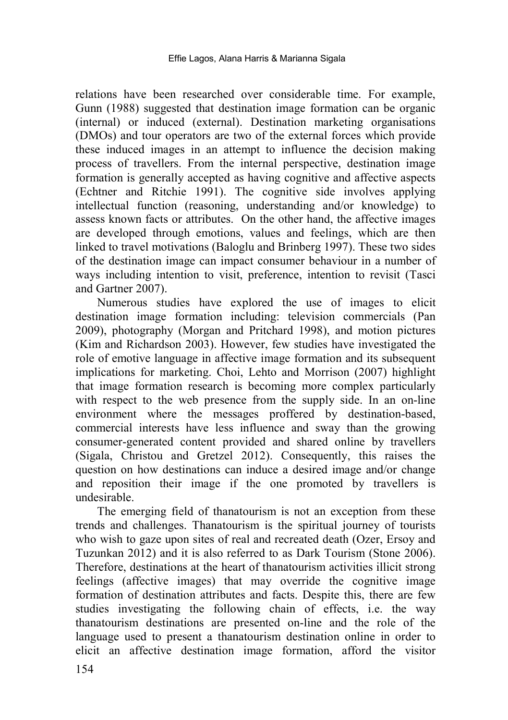relations have been researched over considerable time. For example, Gunn (1988) suggested that destination image formation can be organic (internal) or induced (external). Destination marketing organisations (DMOs) and tour operators are two of the external forces which provide these induced images in an attempt to influence the decision making process of travellers. From the internal perspective, destination image formation is generally accepted as having cognitive and affective aspects (Echtner and Ritchie 1991). The cognitive side involves applying intellectual function (reasoning, understanding and/or knowledge) to assess known facts or attributes. On the other hand, the affective images are developed through emotions, values and feelings, which are then linked to travel motivations (Baloglu and Brinberg 1997). These two sides of the destination image can impact consumer behaviour in a number of ways including intention to visit, preference, intention to revisit (Tasci and Gartner 2007).

Numerous studies have explored the use of images to elicit destination image formation including: television commercials (Pan 2009), photography (Morgan and Pritchard 1998), and motion pictures (Kim and Richardson 2003). However, few studies have investigated the role of emotive language in affective image formation and its subsequent implications for marketing. Choi, Lehto and Morrison (2007) highlight that image formation research is becoming more complex particularly with respect to the web presence from the supply side. In an on-line environment where the messages proffered by destination-based, commercial interests have less influence and sway than the growing consumer-generated content provided and shared online by travellers (Sigala, Christou and Gretzel 2012). Consequently, this raises the question on how destinations can induce a desired image and/or change and reposition their image if the one promoted by travellers is undesirable.

The emerging field of thanatourism is not an exception from these trends and challenges. Thanatourism is the spiritual journey of tourists who wish to gaze upon sites of real and recreated death (Ozer, Ersoy and Tuzunkan 2012) and it is also referred to as Dark Tourism (Stone 2006). Therefore, destinations at the heart of thanatourism activities illicit strong feelings (affective images) that may override the cognitive image formation of destination attributes and facts. Despite this, there are few studies investigating the following chain of effects, i.e. the way thanatourism destinations are presented on-line and the role of the language used to present a thanatourism destination online in order to elicit an affective destination image formation, afford the visitor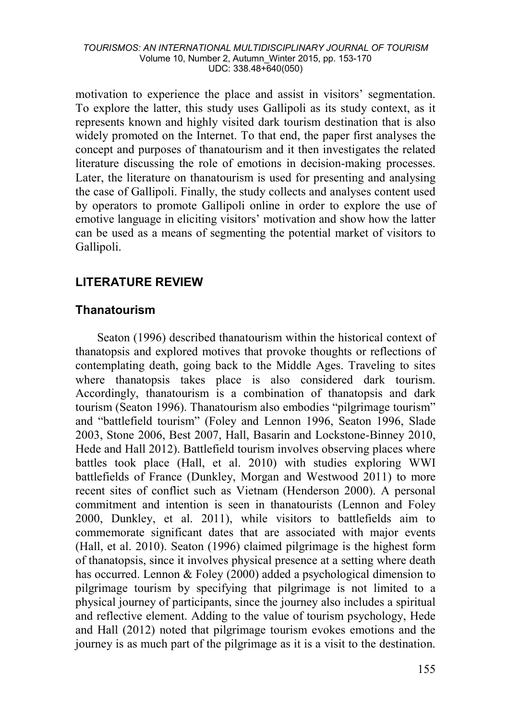motivation to experience the place and assist in visitors' segmentation. To explore the latter, this study uses Gallipoli as its study context, as it represents known and highly visited dark tourism destination that is also widely promoted on the Internet. To that end, the paper first analyses the concept and purposes of thanatourism and it then investigates the related literature discussing the role of emotions in decision-making processes. Later, the literature on thanatourism is used for presenting and analysing the case of Gallipoli. Finally, the study collects and analyses content used by operators to promote Gallipoli online in order to explore the use of emotive language in eliciting visitors' motivation and show how the latter can be used as a means of segmenting the potential market of visitors to Gallipoli.

# **LITERATURE REVIEW**

#### **Thanatourism**

Seaton (1996) described thanatourism within the historical context of thanatopsis and explored motives that provoke thoughts or reflections of contemplating death, going back to the Middle Ages. Traveling to sites where thanatopsis takes place is also considered dark tourism. Accordingly, thanatourism is a combination of thanatopsis and dark tourism (Seaton 1996). Thanatourism also embodies "pilgrimage tourism" and "battlefield tourism" (Foley and Lennon 1996, Seaton 1996, Slade 2003, Stone 2006, Best 2007, Hall, Basarin and Lockstone-Binney 2010, Hede and Hall 2012). Battlefield tourism involves observing places where battles took place (Hall, et al. 2010) with studies exploring WWI battlefields of France (Dunkley, Morgan and Westwood 2011) to more recent sites of conflict such as Vietnam (Henderson 2000). A personal commitment and intention is seen in thanatourists (Lennon and Foley 2000, Dunkley, et al. 2011), while visitors to battlefields aim to commemorate significant dates that are associated with major events (Hall, et al. 2010). Seaton (1996) claimed pilgrimage is the highest form of thanatopsis, since it involves physical presence at a setting where death has occurred. Lennon & Foley (2000) added a psychological dimension to pilgrimage tourism by specifying that pilgrimage is not limited to a physical journey of participants, since the journey also includes a spiritual and reflective element. Adding to the value of tourism psychology, Hede and Hall (2012) noted that pilgrimage tourism evokes emotions and the journey is as much part of the pilgrimage as it is a visit to the destination.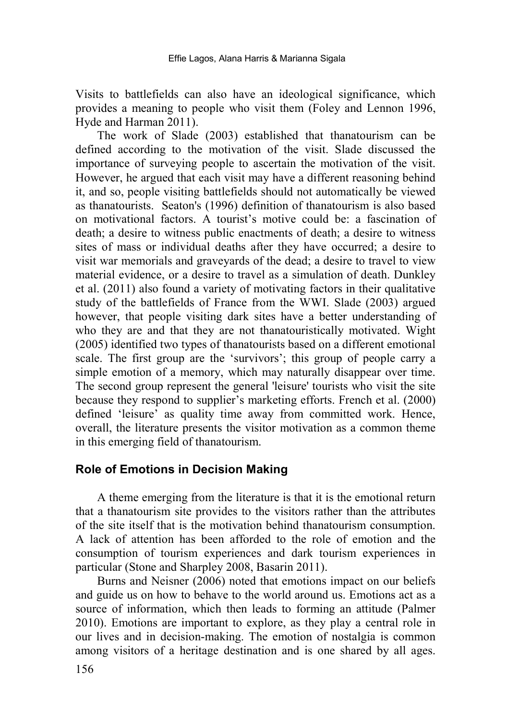Visits to battlefields can also have an ideological significance, which provides a meaning to people who visit them (Foley and Lennon 1996, Hyde and Harman 2011).

The work of Slade (2003) established that thanatourism can be defined according to the motivation of the visit. Slade discussed the importance of surveying people to ascertain the motivation of the visit. However, he argued that each visit may have a different reasoning behind it, and so, people visiting battlefields should not automatically be viewed as thanatourists. Seaton's (1996) definition of thanatourism is also based on motivational factors. A tourist's motive could be: a fascination of death; a desire to witness public enactments of death; a desire to witness sites of mass or individual deaths after they have occurred; a desire to visit war memorials and graveyards of the dead; a desire to travel to view material evidence, or a desire to travel as a simulation of death. Dunkley et al. (2011) also found a variety of motivating factors in their qualitative study of the battlefields of France from the WWI. Slade (2003) argued however, that people visiting dark sites have a better understanding of who they are and that they are not thanatouristically motivated. Wight (2005) identified two types of thanatourists based on a different emotional scale. The first group are the 'survivors'; this group of people carry a simple emotion of a memory, which may naturally disappear over time. The second group represent the general 'leisure' tourists who visit the site because they respond to supplier's marketing efforts. French et al. (2000) defined 'leisure' as quality time away from committed work. Hence, overall, the literature presents the visitor motivation as a common theme in this emerging field of thanatourism.

#### **Role of Emotions in Decision Making**

A theme emerging from the literature is that it is the emotional return that a thanatourism site provides to the visitors rather than the attributes of the site itself that is the motivation behind thanatourism consumption. A lack of attention has been afforded to the role of emotion and the consumption of tourism experiences and dark tourism experiences in particular (Stone and Sharpley 2008, Basarin 2011).

Burns and Neisner (2006) noted that emotions impact on our beliefs and guide us on how to behave to the world around us. Emotions act as a source of information, which then leads to forming an attitude (Palmer 2010). Emotions are important to explore, as they play a central role in our lives and in decision-making. The emotion of nostalgia is common among visitors of a heritage destination and is one shared by all ages.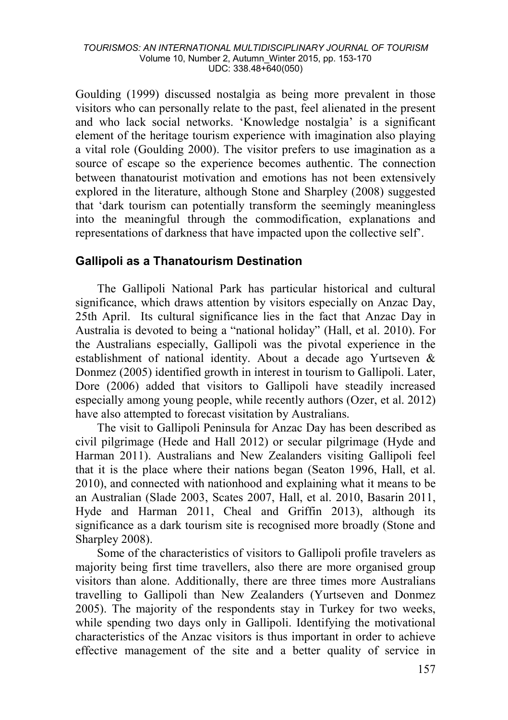Goulding (1999) discussed nostalgia as being more prevalent in those visitors who can personally relate to the past, feel alienated in the present and who lack social networks. 'Knowledge nostalgia' is a significant element of the heritage tourism experience with imagination also playing a vital role (Goulding 2000). The visitor prefers to use imagination as a source of escape so the experience becomes authentic. The connection between thanatourist motivation and emotions has not been extensively explored in the literature, although Stone and Sharpley (2008) suggested that 'dark tourism can potentially transform the seemingly meaningless into the meaningful through the commodification, explanations and representations of darkness that have impacted upon the collective self'.

#### **Gallipoli as a Thanatourism Destination**

The Gallipoli National Park has particular historical and cultural significance, which draws attention by visitors especially on Anzac Day, 25th April. Its cultural significance lies in the fact that Anzac Day in Australia is devoted to being a "national holiday" (Hall, et al. 2010). For the Australians especially, Gallipoli was the pivotal experience in the establishment of national identity. About a decade ago Yurtseven & Donmez (2005) identified growth in interest in tourism to Gallipoli. Later, Dore (2006) added that visitors to Gallipoli have steadily increased especially among young people, while recently authors (Ozer, et al. 2012) have also attempted to forecast visitation by Australians.

The visit to Gallipoli Peninsula for Anzac Day has been described as civil pilgrimage (Hede and Hall 2012) or secular pilgrimage (Hyde and Harman 2011). Australians and New Zealanders visiting Gallipoli feel that it is the place where their nations began (Seaton 1996, Hall, et al. 2010), and connected with nationhood and explaining what it means to be an Australian (Slade 2003, Scates 2007, Hall, et al. 2010, Basarin 2011, Hyde and Harman 2011, Cheal and Griffin 2013), although its significance as a dark tourism site is recognised more broadly (Stone and Sharpley 2008).

Some of the characteristics of visitors to Gallipoli profile travelers as majority being first time travellers, also there are more organised group visitors than alone. Additionally, there are three times more Australians travelling to Gallipoli than New Zealanders (Yurtseven and Donmez 2005). The majority of the respondents stay in Turkey for two weeks, while spending two days only in Gallipoli. Identifying the motivational characteristics of the Anzac visitors is thus important in order to achieve effective management of the site and a better quality of service in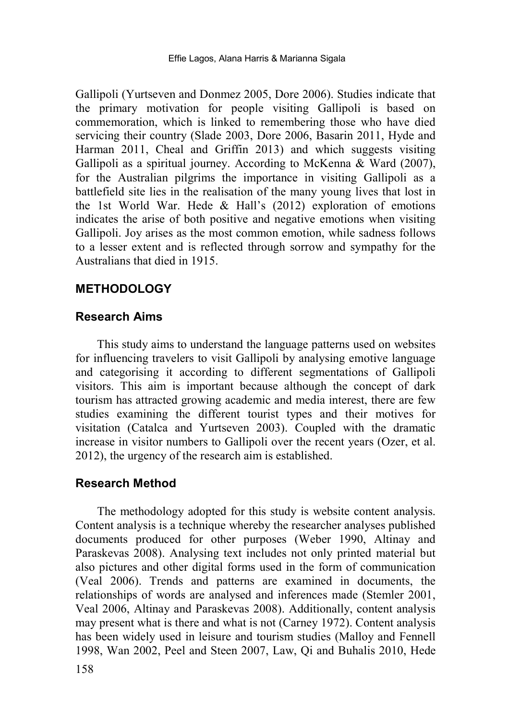Gallipoli (Yurtseven and Donmez 2005, Dore 2006). Studies indicate that the primary motivation for people visiting Gallipoli is based on commemoration, which is linked to remembering those who have died servicing their country (Slade 2003, Dore 2006, Basarin 2011, Hyde and Harman 2011, Cheal and Griffin 2013) and which suggests visiting Gallipoli as a spiritual journey. According to McKenna & Ward (2007), for the Australian pilgrims the importance in visiting Gallipoli as a battlefield site lies in the realisation of the many young lives that lost in the 1st World War. Hede & Hall's (2012) exploration of emotions indicates the arise of both positive and negative emotions when visiting Gallipoli. Joy arises as the most common emotion, while sadness follows to a lesser extent and is reflected through sorrow and sympathy for the Australians that died in 1915.

#### **METHODOLOGY**

#### **Research Aims**

This study aims to understand the language patterns used on websites for influencing travelers to visit Gallipoli by analysing emotive language and categorising it according to different segmentations of Gallipoli visitors. This aim is important because although the concept of dark tourism has attracted growing academic and media interest, there are few studies examining the different tourist types and their motives for visitation (Catalca and Yurtseven 2003). Coupled with the dramatic increase in visitor numbers to Gallipoli over the recent years (Ozer, et al. 2012), the urgency of the research aim is established.

#### **Research Method**

The methodology adopted for this study is website content analysis. Content analysis is a technique whereby the researcher analyses published documents produced for other purposes (Weber 1990, Altinay and Paraskevas 2008). Analysing text includes not only printed material but also pictures and other digital forms used in the form of communication (Veal 2006). Trends and patterns are examined in documents, the relationships of words are analysed and inferences made (Stemler 2001, Veal 2006, Altinay and Paraskevas 2008). Additionally, content analysis may present what is there and what is not (Carney 1972). Content analysis has been widely used in leisure and tourism studies (Malloy and Fennell 1998, Wan 2002, Peel and Steen 2007, Law, Qi and Buhalis 2010, Hede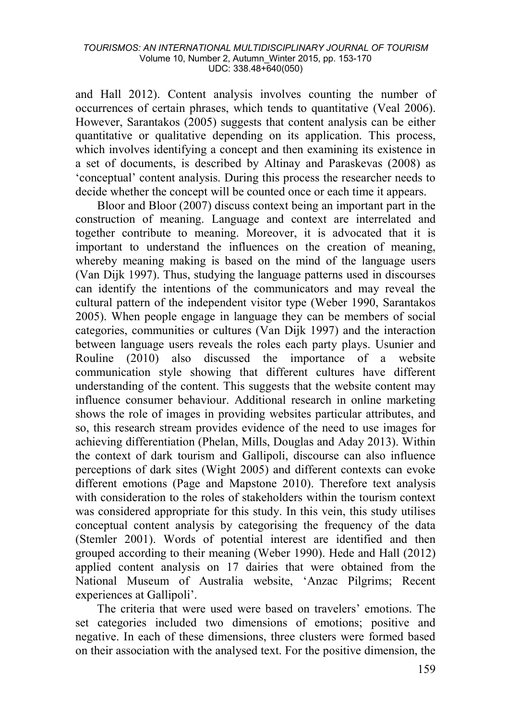and Hall 2012). Content analysis involves counting the number of occurrences of certain phrases, which tends to quantitative (Veal 2006). However, Sarantakos (2005) suggests that content analysis can be either quantitative or qualitative depending on its application. This process, which involves identifying a concept and then examining its existence in a set of documents, is described by Altinay and Paraskevas (2008) as 'conceptual' content analysis. During this process the researcher needs to decide whether the concept will be counted once or each time it appears.

Bloor and Bloor (2007) discuss context being an important part in the construction of meaning. Language and context are interrelated and together contribute to meaning. Moreover, it is advocated that it is important to understand the influences on the creation of meaning, whereby meaning making is based on the mind of the language users (Van Dijk 1997). Thus, studying the language patterns used in discourses can identify the intentions of the communicators and may reveal the cultural pattern of the independent visitor type (Weber 1990, Sarantakos 2005). When people engage in language they can be members of social categories, communities or cultures (Van Dijk 1997) and the interaction between language users reveals the roles each party plays. Usunier and Rouline (2010) also discussed the importance of a website communication style showing that different cultures have different understanding of the content. This suggests that the website content may influence consumer behaviour. Additional research in online marketing shows the role of images in providing websites particular attributes, and so, this research stream provides evidence of the need to use images for achieving differentiation (Phelan, Mills, Douglas and Aday 2013). Within the context of dark tourism and Gallipoli, discourse can also influence perceptions of dark sites (Wight 2005) and different contexts can evoke different emotions (Page and Mapstone 2010). Therefore text analysis with consideration to the roles of stakeholders within the tourism context was considered appropriate for this study. In this vein, this study utilises conceptual content analysis by categorising the frequency of the data (Stemler 2001). Words of potential interest are identified and then grouped according to their meaning (Weber 1990). Hede and Hall (2012) applied content analysis on 17 dairies that were obtained from the National Museum of Australia website, 'Anzac Pilgrims; Recent experiences at Gallipoli'.

The criteria that were used were based on travelers' emotions. The set categories included two dimensions of emotions; positive and negative. In each of these dimensions, three clusters were formed based on their association with the analysed text. For the positive dimension, the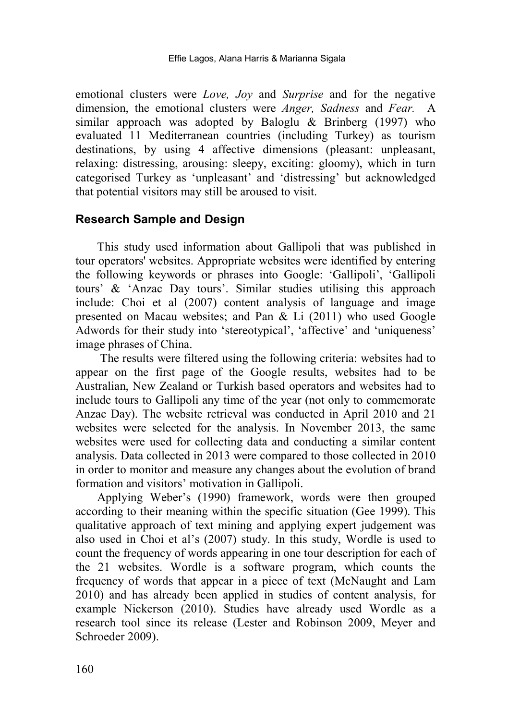emotional clusters were *Love, Joy* and *Surprise* and for the negative dimension, the emotional clusters were *Anger, Sadness* and *Fear.* A similar approach was adopted by Baloglu & Brinberg (1997) who evaluated 11 Mediterranean countries (including Turkey) as tourism destinations, by using 4 affective dimensions (pleasant: unpleasant, relaxing: distressing, arousing: sleepy, exciting: gloomy), which in turn categorised Turkey as 'unpleasant' and 'distressing' but acknowledged that potential visitors may still be aroused to visit.

#### **Research Sample and Design**

This study used information about Gallipoli that was published in tour operators' websites. Appropriate websites were identified by entering the following keywords or phrases into Google: 'Gallipoli', 'Gallipoli tours' & 'Anzac Day tours'. Similar studies utilising this approach include: Choi et al (2007) content analysis of language and image presented on Macau websites; and Pan & Li (2011) who used Google Adwords for their study into 'stereotypical', 'affective' and 'uniqueness' image phrases of China.

The results were filtered using the following criteria: websites had to appear on the first page of the Google results, websites had to be Australian, New Zealand or Turkish based operators and websites had to include tours to Gallipoli any time of the year (not only to commemorate Anzac Day). The website retrieval was conducted in April 2010 and 21 websites were selected for the analysis. In November 2013, the same websites were used for collecting data and conducting a similar content analysis. Data collected in 2013 were compared to those collected in 2010 in order to monitor and measure any changes about the evolution of brand formation and visitors' motivation in Gallipoli.

Applying Weber's (1990) framework, words were then grouped according to their meaning within the specific situation (Gee 1999). This qualitative approach of text mining and applying expert judgement was also used in Choi et al's (2007) study. In this study, Wordle is used to count the frequency of words appearing in one tour description for each of the 21 websites. Wordle is a software program, which counts the frequency of words that appear in a piece of text (McNaught and Lam 2010) and has already been applied in studies of content analysis, for example Nickerson (2010). Studies have already used Wordle as a research tool since its release (Lester and Robinson 2009, Meyer and Schroeder 2009).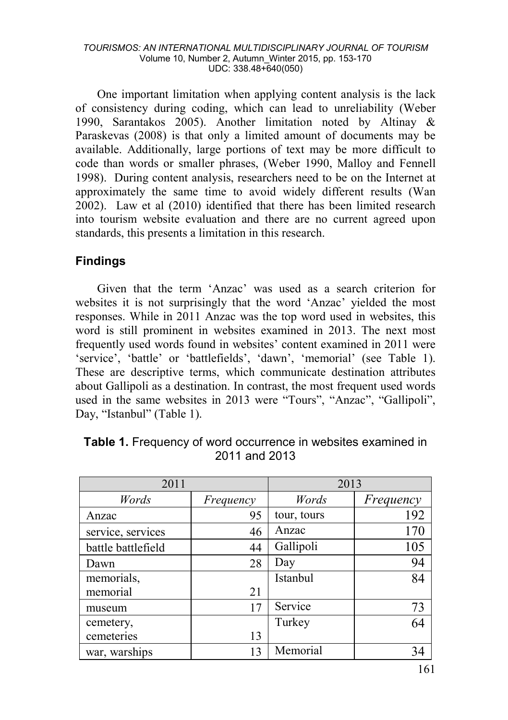One important limitation when applying content analysis is the lack of consistency during coding, which can lead to unreliability (Weber 1990, Sarantakos 2005). Another limitation noted by Altinay & Paraskevas (2008) is that only a limited amount of documents may be available. Additionally, large portions of text may be more difficult to code than words or smaller phrases, (Weber 1990, Malloy and Fennell 1998). During content analysis, researchers need to be on the Internet at approximately the same time to avoid widely different results (Wan 2002). Law et al (2010) identified that there has been limited research into tourism website evaluation and there are no current agreed upon standards, this presents a limitation in this research.

### **Findings**

Given that the term 'Anzac' was used as a search criterion for websites it is not surprisingly that the word 'Anzac' yielded the most responses. While in 2011 Anzac was the top word used in websites, this word is still prominent in websites examined in 2013. The next most frequently used words found in websites' content examined in 2011 were 'service', 'battle' or 'battlefields', 'dawn', 'memorial' (see Table 1). These are descriptive terms, which communicate destination attributes about Gallipoli as a destination. In contrast, the most frequent used words used in the same websites in 2013 were "Tours", "Anzac", "Gallipoli", Day, "Istanbul" (Table 1).

| 2011               |           | 2013        |           |
|--------------------|-----------|-------------|-----------|
| Words              | Frequency | Words       | Frequency |
| Anzac              | 95        | tour, tours | 192       |
| service, services  | 46        | Anzac       | 170       |
| battle battlefield | 44        | Gallipoli   | 105       |
| Dawn               | 28        | Day         | 94        |
| memorials,         |           | Istanbul    | 84        |
| memorial           | 21        |             |           |
| museum             | 17        | Service     | 73        |
| cemetery,          |           | Turkey      | 64        |
| cemeteries         | 13        |             |           |
| war, warships      | 13        | Memorial    | 34        |

**Table 1.** Frequency of word occurrence in websites examined in 2011 and 2013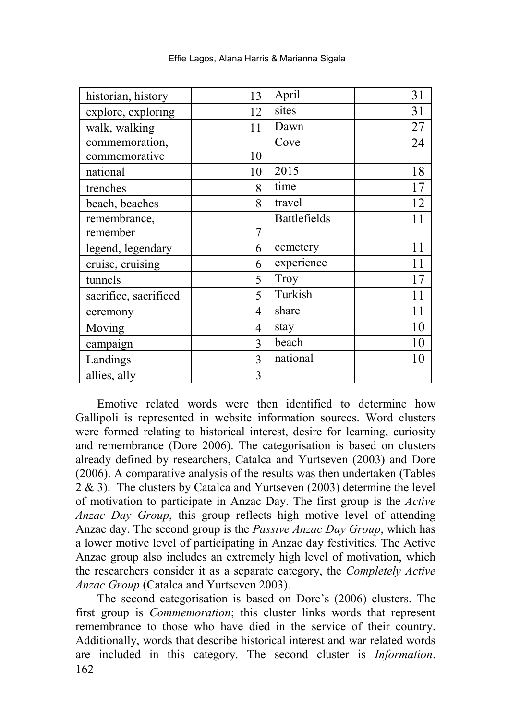| historian, history    | 13 | April        | 31 |
|-----------------------|----|--------------|----|
| explore, exploring    | 12 | sites        | 31 |
| walk, walking         | 11 | Dawn         | 27 |
| commemoration,        |    | Cove         | 24 |
| commemorative         | 10 |              |    |
| national              | 10 | 2015         | 18 |
| trenches              | 8  | time         | 17 |
| beach, beaches        | 8  | travel       | 12 |
| remembrance,          |    | Battlefields | 11 |
| remember              | 7  |              |    |
| legend, legendary     | 6  | cemetery     | 11 |
| cruise, cruising      | 6  | experience   | 11 |
| tunnels               | 5  | Troy         | 17 |
| sacrifice, sacrificed | 5  | Turkish      | 11 |
| ceremony              | 4  | share        | 11 |
| Moving                | 4  | stay         | 10 |
| campaign              | 3  | beach        | 10 |
| Landings              | 3  | national     | 10 |
| allies, ally          | 3  |              |    |

Effie Lagos, Alana Harris & Marianna Sigala

Emotive related words were then identified to determine how Gallipoli is represented in website information sources. Word clusters were formed relating to historical interest, desire for learning, curiosity and remembrance (Dore 2006). The categorisation is based on clusters already defined by researchers, Catalca and Yurtseven (2003) and Dore (2006). A comparative analysis of the results was then undertaken (Tables 2 & 3). The clusters by Catalca and Yurtseven (2003) determine the level of motivation to participate in Anzac Day. The first group is the *Active Anzac Day Group*, this group reflects high motive level of attending Anzac day. The second group is the *Passive Anzac Day Group*, which has a lower motive level of participating in Anzac day festivities. The Active Anzac group also includes an extremely high level of motivation, which the researchers consider it as a separate category, the *Completely Active Anzac Group* (Catalca and Yurtseven 2003).

162 The second categorisation is based on Dore's (2006) clusters. The first group is *Commemoration*; this cluster links words that represent remembrance to those who have died in the service of their country. Additionally, words that describe historical interest and war related words are included in this category. The second cluster is *Information*.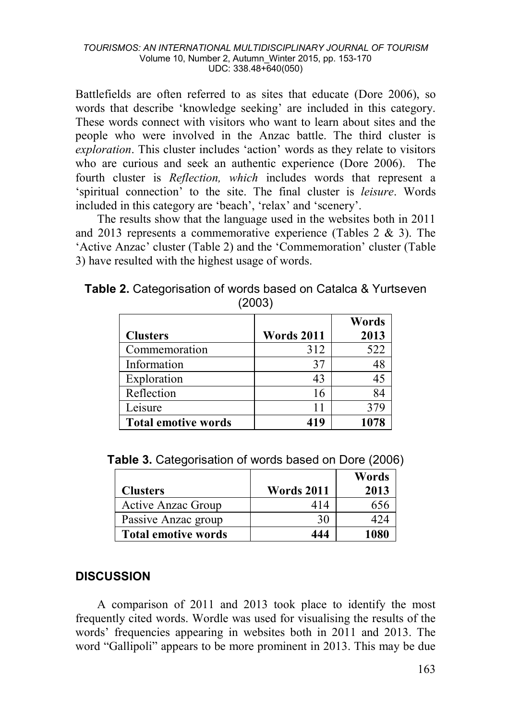Battlefields are often referred to as sites that educate (Dore 2006), so words that describe 'knowledge seeking' are included in this category. These words connect with visitors who want to learn about sites and the people who were involved in the Anzac battle. The third cluster is *exploration*. This cluster includes 'action' words as they relate to visitors who are curious and seek an authentic experience (Dore 2006). The fourth cluster is *Reflection, which* includes words that represent a 'spiritual connection' to the site. The final cluster is *leisure*. Words included in this category are 'beach', 'relax' and 'scenery'.

The results show that the language used in the websites both in 2011 and 2013 represents a commemorative experience (Tables 2 & 3). The 'Active Anzac' cluster (Table 2) and the 'Commemoration' cluster (Table 3) have resulted with the highest usage of words.

|                            |                   | Words |
|----------------------------|-------------------|-------|
| <b>Clusters</b>            | <b>Words 2011</b> | 2013  |
| Commemoration              | 312               | 522   |
| Information                | 37                |       |
| Exploration                | 43                |       |
| Reflection                 | 16                |       |
| Leisure                    | 11                |       |
| <b>Total emotive words</b> | 419               | 1078  |

**Table 2.** Categorisation of words based on Catalca & Yurtseven (2003)

|                            |                   | Words |
|----------------------------|-------------------|-------|
| <b>Clusters</b>            | <b>Words 2011</b> | 2013  |
| Active Anzac Group         | 414               | 656   |
| Passive Anzac group        | 30                | 124   |
| <b>Total emotive words</b> | 444               | 1080  |

# **DISCUSSION**

A comparison of 2011 and 2013 took place to identify the most frequently cited words. Wordle was used for visualising the results of the words' frequencies appearing in websites both in 2011 and 2013. The word "Gallipoli" appears to be more prominent in 2013. This may be due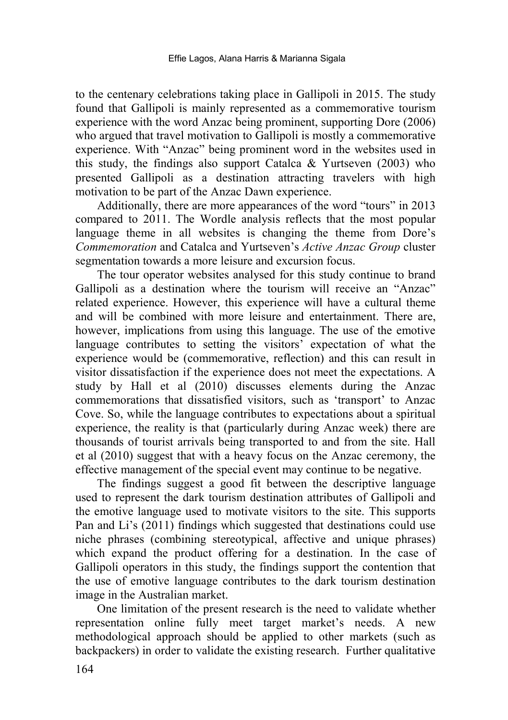to the centenary celebrations taking place in Gallipoli in 2015. The study found that Gallipoli is mainly represented as a commemorative tourism experience with the word Anzac being prominent, supporting Dore (2006) who argued that travel motivation to Gallipoli is mostly a commemorative experience. With "Anzac" being prominent word in the websites used in this study, the findings also support Catalca & Yurtseven (2003) who presented Gallipoli as a destination attracting travelers with high motivation to be part of the Anzac Dawn experience.

Additionally, there are more appearances of the word "tours" in 2013 compared to 2011. The Wordle analysis reflects that the most popular language theme in all websites is changing the theme from Dore's *Commemoration* and Catalca and Yurtseven's *Active Anzac Group* cluster segmentation towards a more leisure and excursion focus.

The tour operator websites analysed for this study continue to brand Gallipoli as a destination where the tourism will receive an "Anzac" related experience. However, this experience will have a cultural theme and will be combined with more leisure and entertainment. There are, however, implications from using this language. The use of the emotive language contributes to setting the visitors' expectation of what the experience would be (commemorative, reflection) and this can result in visitor dissatisfaction if the experience does not meet the expectations. A study by Hall et al (2010) discusses elements during the Anzac commemorations that dissatisfied visitors, such as 'transport' to Anzac Cove. So, while the language contributes to expectations about a spiritual experience, the reality is that (particularly during Anzac week) there are thousands of tourist arrivals being transported to and from the site. Hall et al (2010) suggest that with a heavy focus on the Anzac ceremony, the effective management of the special event may continue to be negative.

The findings suggest a good fit between the descriptive language used to represent the dark tourism destination attributes of Gallipoli and the emotive language used to motivate visitors to the site. This supports Pan and Li's (2011) findings which suggested that destinations could use niche phrases (combining stereotypical, affective and unique phrases) which expand the product offering for a destination. In the case of Gallipoli operators in this study, the findings support the contention that the use of emotive language contributes to the dark tourism destination image in the Australian market.

One limitation of the present research is the need to validate whether representation online fully meet target market's needs. A new methodological approach should be applied to other markets (such as backpackers) in order to validate the existing research. Further qualitative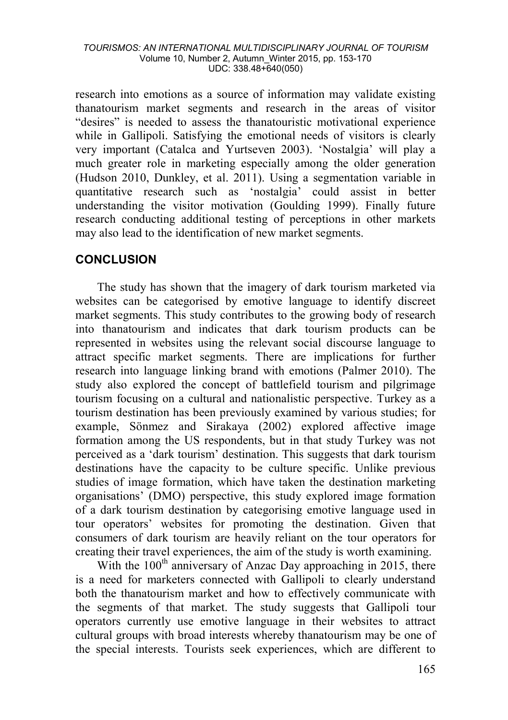research into emotions as a source of information may validate existing thanatourism market segments and research in the areas of visitor "desires" is needed to assess the thanatouristic motivational experience while in Gallipoli. Satisfying the emotional needs of visitors is clearly very important (Catalca and Yurtseven 2003). 'Nostalgia' will play a much greater role in marketing especially among the older generation (Hudson 2010, Dunkley, et al. 2011). Using a segmentation variable in quantitative research such as 'nostalgia' could assist in better understanding the visitor motivation (Goulding 1999). Finally future research conducting additional testing of perceptions in other markets may also lead to the identification of new market segments.

# **CONCLUSION**

The study has shown that the imagery of dark tourism marketed via websites can be categorised by emotive language to identify discreet market segments. This study contributes to the growing body of research into thanatourism and indicates that dark tourism products can be represented in websites using the relevant social discourse language to attract specific market segments. There are implications for further research into language linking brand with emotions (Palmer 2010). The study also explored the concept of battlefield tourism and pilgrimage tourism focusing on a cultural and nationalistic perspective. Turkey as a tourism destination has been previously examined by various studies; for example, Sönmez and Sirakaya (2002) explored affective image formation among the US respondents, but in that study Turkey was not perceived as a 'dark tourism' destination. This suggests that dark tourism destinations have the capacity to be culture specific. Unlike previous studies of image formation, which have taken the destination marketing organisations' (DMO) perspective, this study explored image formation of a dark tourism destination by categorising emotive language used in tour operators' websites for promoting the destination. Given that consumers of dark tourism are heavily reliant on the tour operators for creating their travel experiences, the aim of the study is worth examining.

With the  $100<sup>th</sup>$  anniversary of Anzac Day approaching in 2015, there is a need for marketers connected with Gallipoli to clearly understand both the thanatourism market and how to effectively communicate with the segments of that market. The study suggests that Gallipoli tour operators currently use emotive language in their websites to attract cultural groups with broad interests whereby thanatourism may be one of the special interests. Tourists seek experiences, which are different to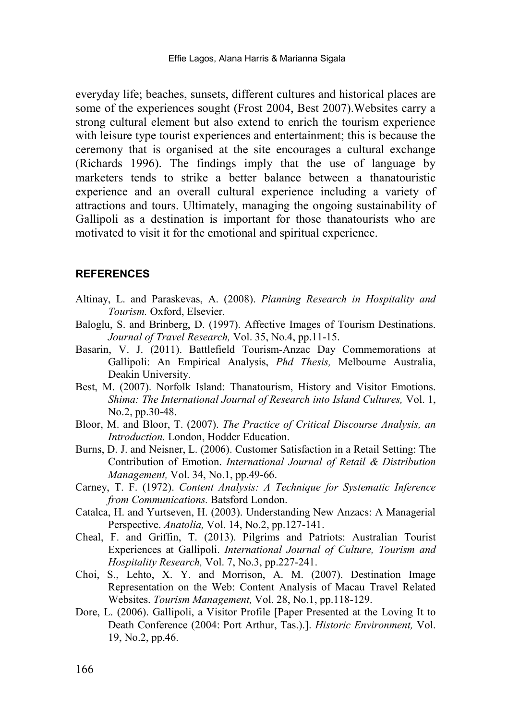everyday life; beaches, sunsets, different cultures and historical places are some of the experiences sought (Frost 2004, Best 2007).Websites carry a strong cultural element but also extend to enrich the tourism experience with leisure type tourist experiences and entertainment; this is because the ceremony that is organised at the site encourages a cultural exchange (Richards 1996). The findings imply that the use of language by marketers tends to strike a better balance between a thanatouristic experience and an overall cultural experience including a variety of attractions and tours. Ultimately, managing the ongoing sustainability of Gallipoli as a destination is important for those thanatourists who are motivated to visit it for the emotional and spiritual experience.

#### **REFERENCES**

- Altinay, L. and Paraskevas, A. (2008). *Planning Research in Hospitality and Tourism.* Oxford, Elsevier.
- Baloglu, S. and Brinberg, D. (1997). Affective Images of Tourism Destinations. *Journal of Travel Research,* Vol. 35, No.4, pp.11-15.
- Basarin, V. J. (2011). Battlefield Tourism-Anzac Day Commemorations at Gallipoli: An Empirical Analysis, *Phd Thesis,* Melbourne Australia, Deakin University.
- Best, M. (2007). Norfolk Island: Thanatourism, History and Visitor Emotions. *Shima: The International Journal of Research into Island Cultures,* Vol. 1, No.2, pp.30-48.
- Bloor, M. and Bloor, T. (2007). *The Practice of Critical Discourse Analysis, an Introduction.* London, Hodder Education.
- Burns, D. J. and Neisner, L. (2006). Customer Satisfaction in a Retail Setting: The Contribution of Emotion. *International Journal of Retail & Distribution Management,* Vol. 34, No.1, pp.49-66.
- Carney, T. F. (1972). *Content Analysis: A Technique for Systematic Inference from Communications.* Batsford London.
- Catalca, H. and Yurtseven, H. (2003). Understanding New Anzacs: A Managerial Perspective. *Anatolia,* Vol. 14, No.2, pp.127-141.
- Cheal, F. and Griffin, T. (2013). Pilgrims and Patriots: Australian Tourist Experiences at Gallipoli. *International Journal of Culture, Tourism and Hospitality Research,* Vol. 7, No.3, pp.227-241.
- Choi, S., Lehto, X. Y. and Morrison, A. M. (2007). Destination Image Representation on the Web: Content Analysis of Macau Travel Related Websites. *Tourism Management,* Vol. 28, No.1, pp.118-129.
- Dore, L. (2006). Gallipoli, a Visitor Profile [Paper Presented at the Loving It to Death Conference (2004: Port Arthur, Tas.).]. *Historic Environment,* Vol. 19, No.2, pp.46.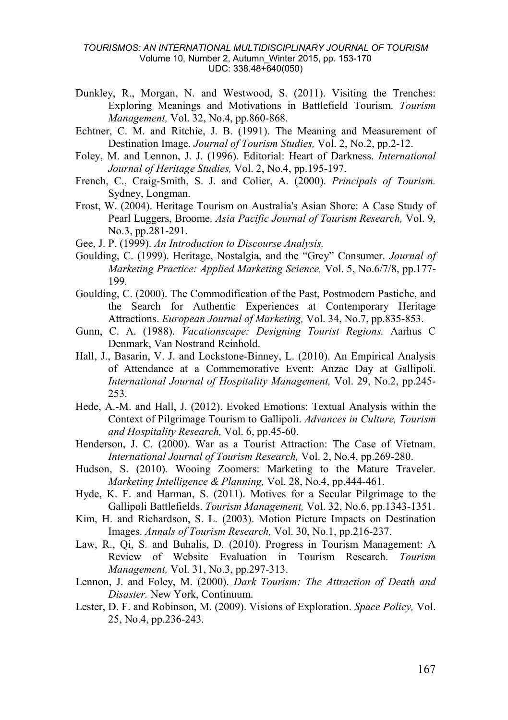#### *TOURISMOS: AN INTERNATIONAL MULTIDISCIPLINARY JOURNAL OF TOURISM* Volume 10, Number 2, Autumn\_Winter 2015, pp. 153-170 UDC: 338.48+640(050)

- Dunkley, R., Morgan, N. and Westwood, S. (2011). Visiting the Trenches: Exploring Meanings and Motivations in Battlefield Tourism. *Tourism Management,* Vol. 32, No.4, pp.860-868.
- Echtner, C. M. and Ritchie, J. B. (1991). The Meaning and Measurement of Destination Image. *Journal of Tourism Studies,* Vol. 2, No.2, pp.2-12.
- Foley, M. and Lennon, J. J. (1996). Editorial: Heart of Darkness. *International Journal of Heritage Studies,* Vol. 2, No.4, pp.195-197.
- French, C., Craig-Smith, S. J. and Colier, A. (2000). *Principals of Tourism.* Sydney, Longman.
- Frost, W. (2004). Heritage Tourism on Australia's Asian Shore: A Case Study of Pearl Luggers, Broome. *Asia Pacific Journal of Tourism Research,* Vol. 9, No.3, pp.281-291.
- Gee, J. P. (1999). *An Introduction to Discourse Analysis.*
- Goulding, C. (1999). Heritage, Nostalgia, and the "Grey" Consumer. *Journal of Marketing Practice: Applied Marketing Science,* Vol. 5, No.6/7/8, pp.177- 199.
- Goulding, C. (2000). The Commodification of the Past, Postmodern Pastiche, and the Search for Authentic Experiences at Contemporary Heritage Attractions. *European Journal of Marketing,* Vol. 34, No.7, pp.835-853.
- Gunn, C. A. (1988). *Vacationscape: Designing Tourist Regions.* Aarhus C Denmark, Van Nostrand Reinhold.
- Hall, J., Basarin, V. J. and Lockstone-Binney, L. (2010). An Empirical Analysis of Attendance at a Commemorative Event: Anzac Day at Gallipoli. *International Journal of Hospitality Management,* Vol. 29, No.2, pp.245- 253.
- Hede, A.-M. and Hall, J. (2012). Evoked Emotions: Textual Analysis within the Context of Pilgrimage Tourism to Gallipoli. *Advances in Culture, Tourism and Hospitality Research,* Vol. 6, pp.45-60.
- Henderson, J. C. (2000). War as a Tourist Attraction: The Case of Vietnam. *International Journal of Tourism Research,* Vol. 2, No.4, pp.269-280.
- Hudson, S. (2010). Wooing Zoomers: Marketing to the Mature Traveler. *Marketing Intelligence & Planning,* Vol. 28, No.4, pp.444-461.
- Hyde, K. F. and Harman, S. (2011). Motives for a Secular Pilgrimage to the Gallipoli Battlefields. *Tourism Management,* Vol. 32, No.6, pp.1343-1351.
- Kim, H. and Richardson, S. L. (2003). Motion Picture Impacts on Destination Images. *Annals of Tourism Research,* Vol. 30, No.1, pp.216-237.
- Law, R., Qi, S. and Buhalis, D. (2010). Progress in Tourism Management: A Review of Website Evaluation in Tourism Research. *Tourism Management,* Vol. 31, No.3, pp.297-313.
- Lennon, J. and Foley, M. (2000). *Dark Tourism: The Attraction of Death and Disaster.* New York, Continuum.
- Lester, D. F. and Robinson, M. (2009). Visions of Exploration. *Space Policy,* Vol. 25, No.4, pp.236-243.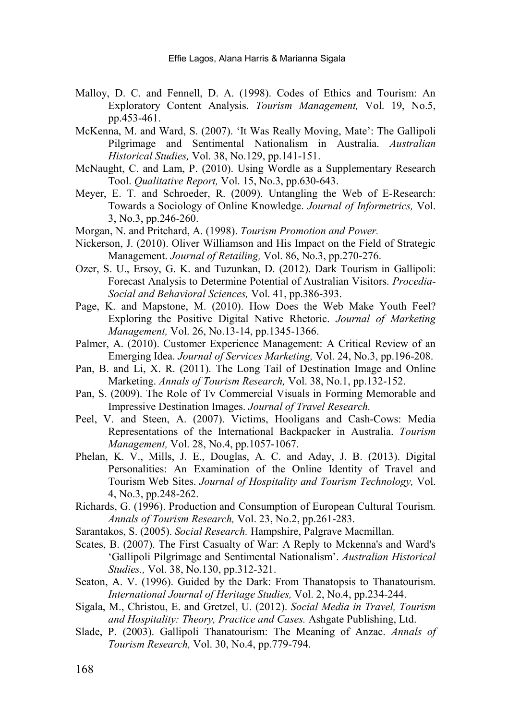- Malloy, D. C. and Fennell, D. A. (1998). Codes of Ethics and Tourism: An Exploratory Content Analysis. *Tourism Management,* Vol. 19, No.5, pp.453-461.
- McKenna, M. and Ward, S. (2007). 'It Was Really Moving, Mate': The Gallipoli Pilgrimage and Sentimental Nationalism in Australia. *Australian Historical Studies,* Vol. 38, No.129, pp.141-151.
- McNaught, C. and Lam, P. (2010). Using Wordle as a Supplementary Research Tool. *Qualitative Report,* Vol. 15, No.3, pp.630-643.
- Meyer, E. T. and Schroeder, R. (2009). Untangling the Web of E-Research: Towards a Sociology of Online Knowledge. *Journal of Informetrics,* Vol. 3, No.3, pp.246-260.
- Morgan, N. and Pritchard, A. (1998). *Tourism Promotion and Power.*
- Nickerson, J. (2010). Oliver Williamson and His Impact on the Field of Strategic Management. *Journal of Retailing,* Vol. 86, No.3, pp.270-276.
- Ozer, S. U., Ersoy, G. K. and Tuzunkan, D. (2012). Dark Tourism in Gallipoli: Forecast Analysis to Determine Potential of Australian Visitors. *Procedia-Social and Behavioral Sciences,* Vol. 41, pp.386-393.
- Page, K. and Mapstone, M. (2010). How Does the Web Make Youth Feel? Exploring the Positive Digital Native Rhetoric. *Journal of Marketing Management,* Vol. 26, No.13-14, pp.1345-1366.
- Palmer, A. (2010). Customer Experience Management: A Critical Review of an Emerging Idea. *Journal of Services Marketing,* Vol. 24, No.3, pp.196-208.
- Pan, B. and Li, X. R. (2011). The Long Tail of Destination Image and Online Marketing. *Annals of Tourism Research,* Vol. 38, No.1, pp.132-152.
- Pan, S. (2009). The Role of Tv Commercial Visuals in Forming Memorable and Impressive Destination Images. *Journal of Travel Research.*
- Peel, V. and Steen, A. (2007). Victims, Hooligans and Cash-Cows: Media Representations of the International Backpacker in Australia. *Tourism Management,* Vol. 28, No.4, pp.1057-1067.
- Phelan, K. V., Mills, J. E., Douglas, A. C. and Aday, J. B. (2013). Digital Personalities: An Examination of the Online Identity of Travel and Tourism Web Sites. *Journal of Hospitality and Tourism Technology,* Vol. 4, No.3, pp.248-262.
- Richards, G. (1996). Production and Consumption of European Cultural Tourism. *Annals of Tourism Research,* Vol. 23, No.2, pp.261-283.
- Sarantakos, S. (2005). *Social Research.* Hampshire, Palgrave Macmillan.
- Scates, B. (2007). The First Casualty of War: A Reply to Mckenna's and Ward's 'Gallipoli Pilgrimage and Sentimental Nationalism'. *Australian Historical Studies.,* Vol. 38, No.130, pp.312-321.
- Seaton, A. V. (1996). Guided by the Dark: From Thanatopsis to Thanatourism. *International Journal of Heritage Studies,* Vol. 2, No.4, pp.234-244.
- Sigala, M., Christou, E. and Gretzel, U. (2012). *Social Media in Travel, Tourism and Hospitality: Theory, Practice and Cases.* Ashgate Publishing, Ltd.
- Slade, P. (2003). Gallipoli Thanatourism: The Meaning of Anzac. *Annals of Tourism Research,* Vol. 30, No.4, pp.779-794.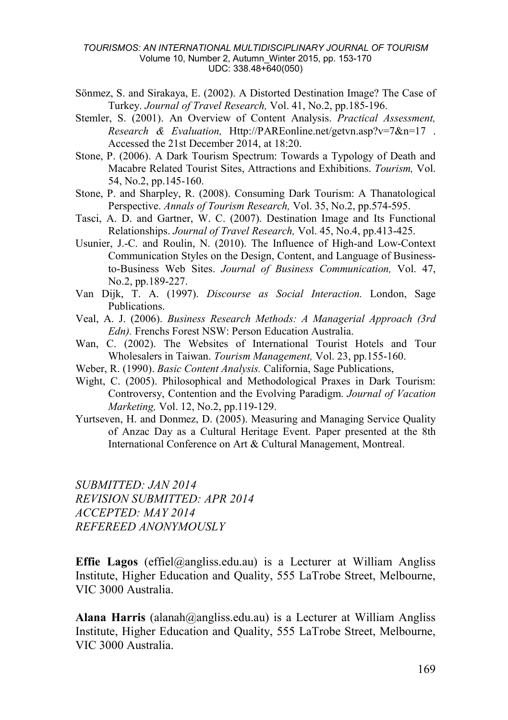#### *TOURISMOS: AN INTERNATIONAL MULTIDISCIPLINARY JOURNAL OF TOURISM* Volume 10, Number 2, Autumn\_Winter 2015, pp. 153-170 UDC: 338.48+640(050)

- Sönmez, S. and Sirakaya, E. (2002). A Distorted Destination Image? The Case of Turkey. *Journal of Travel Research,* Vol. 41, No.2, pp.185-196.
- Stemler, S. (2001). An Overview of Content Analysis. *Practical Assessment, Research & Evaluation,* Http://PAREonline.net/getvn.asp?v=7&n=17 . Accessed the 21st December 2014, at 18:20.
- Stone, P. (2006). A Dark Tourism Spectrum: Towards a Typology of Death and Macabre Related Tourist Sites, Attractions and Exhibitions. *Tourism,* Vol. 54, No.2, pp.145-160.
- Stone, P. and Sharpley, R. (2008). Consuming Dark Tourism: A Thanatological Perspective. *Annals of Tourism Research,* Vol. 35, No.2, pp.574-595.
- Tasci, A. D. and Gartner, W. C. (2007). Destination Image and Its Functional Relationships. *Journal of Travel Research,* Vol. 45, No.4, pp.413-425.
- Usunier, J.-C. and Roulin, N. (2010). The Influence of High-and Low-Context Communication Styles on the Design, Content, and Language of Businessto-Business Web Sites. *Journal of Business Communication,* Vol. 47, No.2, pp.189-227.
- Van Dijk, T. A. (1997). *Discourse as Social Interaction.* London, Sage Publications.
- Veal, A. J. (2006). *Business Research Methods: A Managerial Approach (3rd Edn).* Frenchs Forest NSW: Person Education Australia.
- Wan, C. (2002). The Websites of International Tourist Hotels and Tour Wholesalers in Taiwan. *Tourism Management,* Vol. 23, pp.155-160.
- Weber, R. (1990). *Basic Content Analysis.* California, Sage Publications,
- Wight, C. (2005). Philosophical and Methodological Praxes in Dark Tourism: Controversy, Contention and the Evolving Paradigm. *Journal of Vacation Marketing,* Vol. 12, No.2, pp.119-129.
- Yurtseven, H. and Donmez, D. (2005). Measuring and Managing Service Quality of Anzac Day as a Cultural Heritage Event. Paper presented at the 8th International Conference on Art & Cultural Management, Montreal.

*SUBMITTED: JAN 2014 REVISION SUBMITTED: APR 2014 ACCEPTED: MAY 2014 REFEREED ANONYMOUSLY*

**Effie Lagos** (effiel@angliss.edu.au) is a Lecturer at William Angliss Institute, Higher Education and Quality, 555 LaTrobe Street, Melbourne, VIC 3000 Australia.

**Alana Harris** (alanah@angliss.edu.au) is a Lecturer at William Angliss Institute, Higher Education and Quality, 555 LaTrobe Street, Melbourne, VIC 3000 Australia.